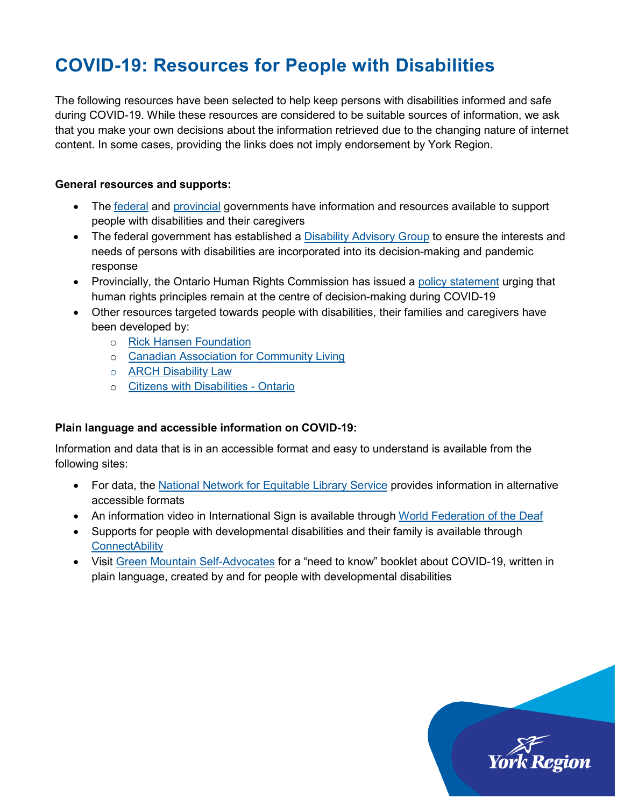# **COVID-19: Resources for People with Disabilities**

The following resources have been selected to help keep persons with disabilities informed and safe during COVID-19. While these resources are considered to be suitable sources of information, we ask that you make your own decisions about the information retrieved due to the changing nature of internet content. In some cases, providing the links does not imply endorsement by York Region.

#### **General resources and supports:**

- The [federal](https://www.canada.ca/en/public-health/services/diseases/coronavirus-disease-covid-19.html) and [provincial](https://www.ontario.ca/page/2019-novel-coronavirus) governments have information and resources available to support people with disabilities and their caregivers
- The federal government has established a [Disability Advisory Group](https://www.canada.ca/en/employment-social-development/news/2020/04/backgrounder--covid-19-disability-advisory-group.html) to ensure the interests and needs of persons with disabilities are incorporated into its decision-making and pandemic response
- Provincially, the Ontario Human Rights Commission has issued a [policy statement](http://www.ohrc.on.ca/en/news_centre/ohrc-policy-statement-covid-19-pandemic) urging that human rights principles remain at the centre of decision-making during COVID-19
- Other resources targeted towards people with disabilities, their families and caregivers have been developed by:
	- o [Rick Hansen Foundation](https://www.rickhansen.com/news-stories/blog/covid-19-useful-resources-persons-disabilities)
	- o [Canadian Association for Community Living](https://cacl.ca/coviddisability/)
	- o [ARCH Disability Law](https://archdisabilitylaw.ca/)
	- o [Citizens with Disabilities](http://www.cwdo.org/node/640) Ontario

### **Plain language and accessible information on COVID-19:**

Information and data that is in an accessible format and easy to understand is available from the following sites:

- For data, the [National Network for Equitable Library Service](https://nnels.ca/covid-19-accessible-information) provides information in alternative accessible formats
- An information video in International Sign is available through [World Federation of the Deaf](https://mailchi.mp/wfd.fi/information-on-the-coronavirus?e=dc778e54da)
- Supports for people with developmental disabilities and their family is available through **[ConnectAbility](https://connectability.ca/what-to-do-while-in-isolation-covid-19-resources/)**
- Visit [Green Mountain Self-Advocates](https://selfadvocacyinfo.org/resource/plain-language-information-on-covid-19/) for a "need to know" booklet about COVID-19, written in plain language, created by and for people with developmental disabilities